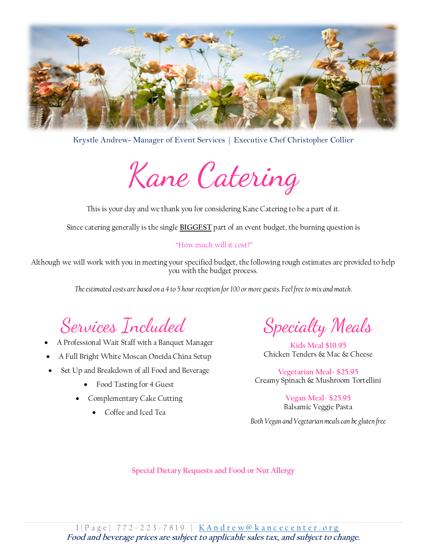

Krystle Andrew- Manager of Event Services | Executive Chef Christopher Collier

Kane Catering

This is your day and we thank you for considering Kane Catering to be a part of it.

Since catering generally is the single **BIGGEST** part of an event budget, the burning question is

#### "How much will it cost?"

Although we will work with you in meeting your specified budget, the following rough estimates are provided to help you with the budget process.

*The estimated costs are based on a 4 to 5 hour reception for 100 or more guests. Feel free to mix and match.*

Services Included

- A Professional Wait Staff with a Banquet Manager
- A Full Bright White Moscan Oneida China Setup
- Set Up and Breakdown of all Food and Beverage
	- Food Tasting for 4 Guest
	- Complementary Cake Cutting
		- Coffee and Iced Tea

Specialty Meals

**Kids Meal \$10.95** Chicken Tenders & Mac & Cheese

**Vegetarian Meal- \$25.95** Creamy Spinach & Mushroom Tortellini

> **Vegan Meal- \$25.95** Balsamic Veggie Pasta

*Both Vegan and Vegetarian meals can be gluten free* 

**Special Dietary Requests and Food or Nut Allergy**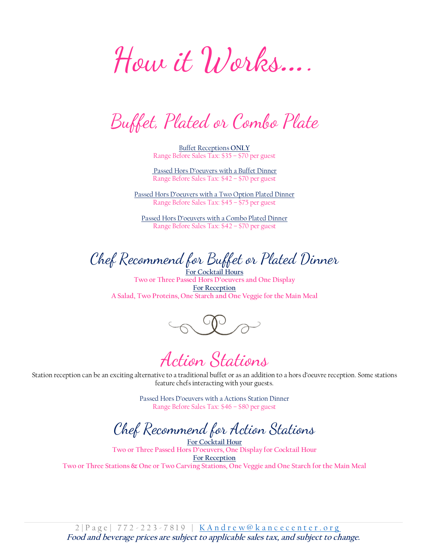How it Works….

Buffet, Plated or Combo Plate

Buffet Receptions **ONLY** Range Before Sales Tax: \$35 – \$70 per guest

Passed Hors D'oeuvers with a Buffet Dinner Range Before Sales Tax: \$42 – \$70 per guest

Passed Hors D'oeuvers with a Two Option Plated Dinner Range Before Sales Tax: \$45 – \$75 per guest

Passed Hors D'oeuvers with a Combo Plated Dinner Range Before Sales Tax: \$42 – \$70 per guest

Chef Recommend for Buffet or Plated Dinner

**For Cocktail Hours Two or Three Passed Hors D'oeuvers and One Display For Reception A Salad, Two Proteins, One Starch and One Veggie for the Main Meal**

Action Stations

Station reception can be an exciting alternative to a traditional buffet or as an addition to a hors d'oeuvre reception. Some stations feature chefs interacting with your guests.

> Passed Hors D'oeuvers with a Actions Station Dinner Range Before Sales Tax: \$46 – \$80 per guest

Chef Recommend for Action Stations

**For Cocktail Hour Two or Three Passed Hors D'oeuvers, One Display for Cocktail Hour For Reception Two or Three Stations & One or Two Carving Stations, One Veggie and One Starch for the Main Meal**

2 | Page | 772 - 223 - 7819 | K Andrew@kancecenter.org **Food and beverage prices are subject to applicable sales tax, and subject to change.**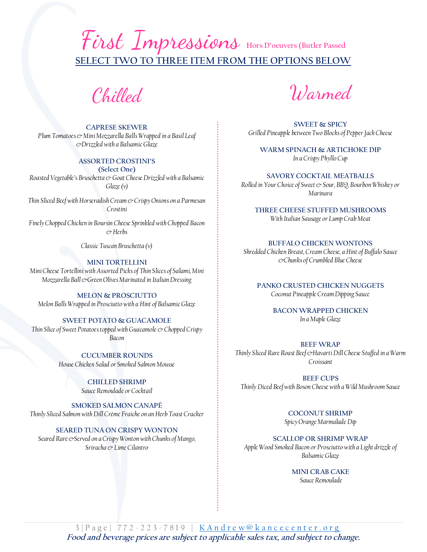## First Impressions Hors D'oeuvers (Butler Passed **SELECT TWO TO THREE ITEM FROM THE OPTIONS BELOW**

Chilled

#### **CAPRESE SKEWER**

*Plum Tomatoes & Mini Mozzarella Balls Wrapped in a Basil Leaf &Drizzled with a Balsamic Glaze* 

#### **ASSORTED CROSTINI'S**

**(Select One)** *Roasted Vegetable's Bruschetta & Goat Cheese Drizzled with a Balsamic Glaze (v)*

*Thin Sliced Beef with Horseradish Cream & Crispy Onions on a Parmesan Crostini*

*Finely Chopped Chicken in Boursin Cheese Sprinkled with Chopped Bacon & Herbs*

*Classic Tuscan Bruschetta (v)*

#### **MINI TORTELLINI**

*Mini Cheese Tortellini with Assorted Picks of Thin Slices of Salami, Mini Mozzarella Ball &Green Olives Marinated in Italian Dressing*

**MELON & PROSCIUTTO**  *Melon Balls Wrapped in Prosciutto with a Hint of Balsamic Glaze* 

#### **SWEET POTATO & GUACAMOLE**

*Thin Slice of Sweet Potatoes topped with Guacamole & Chopped Crispy Bacon* 

> **CUCUMBER ROUNDS** *House Chicken Salad or Smoked Salmon Mousse*

> > **CHILLED SHRIMP**

*Sauce Remoulade or Cocktail*

**SMOKED SALMON CANAPÉ**

*Thinly Sliced Salmon with Dill Crème Fraiche on an Herb Toast Cracker*

**SEARED TUNA ON CRISPY WONTON**

*Seared Rare & Served on a Crispy Wonton with Chunks of Mango, Sriracha & Lime Cilantro*

Warmed

**SWEET & SPICY**  *Grilled Pineapple between Two Blocks of Pepper Jack Cheese*

**WARM SPINACH & ARTICHOKE DIP** *In a Crispy Phyllo Cup*

**SAVORY COCKTAIL MEATBALLS** *Rolled in Your Choice of Sweet & Sour, BBQ, Bourbon Whiskey or Marinara*

**THREE CHEESE STUFFED MUSHROOMS** *With Italian Sausage or Lump Crab Meat*

#### **BUFFALO CHICKEN WONTONS**

*Shredded Chicken Breast, Cream Cheese, a Hint of Buffalo Sauce &Chunks of Crumbled Blue Cheese*

**PANKO CRUSTED CHICKEN NUGGETS**

*Coconut Pineapple Cream Dipping Sauce*

**BACON WRAPPED CHICKEN** *In a Maple Glaze*

#### **BEEF WRAP**

*Thinly Sliced Rare Roast Beef &Havarti Dill Cheese Stuffed in a Warm Croissant* 

**BEEF CUPS** *Thinly Diced Beef with Boson Cheese with a Wild Mushroom Sauce* 

> **COCONUT SHRIMP**  *Spicy Orange Marmalade Dip*

**SCALLOP OR SHRIMP WRAP**

*Apple Wood Smoked Bacon or Prosciutto with a Light drizzle of Balsamic Glaze*

> **MINI CRAB CAKE** *Sauce Remoulade*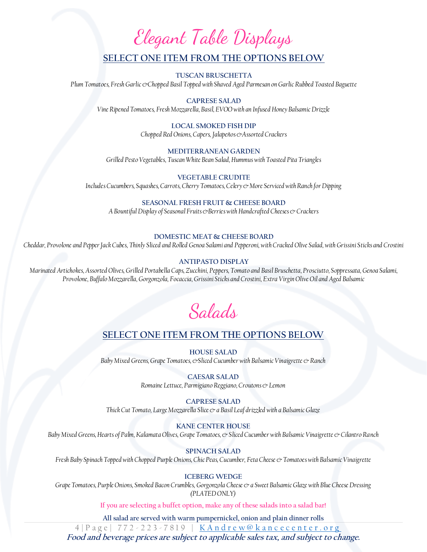# Elegant Table Displays

### **SELECT ONE ITEM FROM THE OPTIONS BELOW**

**TUSCAN BRUSCHETTA** *Plum Tomatoes, Fresh Garlic &Chopped Basil Topped with Shaved Aged Parmesan on Garlic Rubbed Toasted Baguette*

**CAPRESE SALAD** *Vine Ripened Tomatoes, Fresh Mozzarella, Basil, EVOO with an Infused Honey Balsamic Drizzle*

#### **LOCAL SMOKED FISH DIP**

*Chopped Red Onions, Capers, Jalapeños & Assorted Crackers* 

#### **MEDITERRANEAN GARDEN**

*Grilled Pesto Vegetables, Tuscan White Bean Salad, Hummus with Toasted Pita Triangles*

**VEGETABLE CRUDITE** *Includes Cucumbers, Squashes, Carrots, Cherry Tomatoes, Celery & More Serviced with Ranch for Dipping*

#### **SEASONAL FRESH FRUIT & CHEESE BOARD**

A Bountiful Display of Seasonal Fruits & Berries with Handcrafted Cheeses & Crackers

#### **DOMESTIC MEAT & CHEESE BOARD**

*Cheddar, Provolone and Pepper Jack Cubes, Thinly Sliced and Rolled Genoa Salami and Pepperoni, with Cracked Olive Salad, with Grissini Sticks and Crostini*

#### **ANTIPASTO DISPLAY**

*Marinated Artichokes, Assorted Olives, Grilled Portabella Caps, Zucchini, Peppers, Tomato and Basil Bruschetta, Prosciutto, Soppressata, Genoa Salami, Provolone, Buffalo Mozzarella, Gorgonzola, Focaccia, Grissini Sticks and Crostini, Extra Virgin Olive Oil and Aged Balsamic*

Salads

#### **SELECT ONE ITEM FROM THE OPTIONS BELOW**

**HOUSE SALAD** *Baby Mixed Greens, Grape Tomatoes, &Sliced Cucumber with Balsamic Vinaigrette & Ranch*

> **CAESAR SALAD** *Romaine Lettuce, Parmigiano Reggiano, Croutons & Lemon*

#### **CAPRESE SALAD**

*Thick Cut Tomato, Large Mozzarella Slice & a Basil Leaf drizzled with a Balsamic Glaze*

#### **KANE CENTER HOUSE**

*Baby Mixed Greens, Hearts of Palm, Kalamata Olives, Grape Tomatoes, & Sliced Cucumber with Balsamic Vinaigrette & Cilantro Ranch*

#### **SPINACH SALAD**

*Fresh Baby Spinach Topped with Chopped Purple Onions, Chic Peas, Cucumber, Feta Cheese & Tomatoes with Balsamic Vinaigrette*

#### **ICEBERG WEDGE**

*Grape Tomatoes, Purple Onions, Smoked Bacon Crumbles, Gorgonzola Cheese & a Sweet Balsamic Glaze with Blue Cheese Dressing (PLATED ONLY)*

**If you are selecting a buffet option, make any of these salads into a salad bar!** 

**All salad are served with warm pumpernickel, onion and plain dinner rolls**

4 | P a g e | 772 - 223 - 7819 | [K A n d r e w @ k a n c e c e n t e r . o r g](mailto:KAndrew@kancecenter.org)

**Food and beverage prices are subject to applicable sales tax, and subject to change.**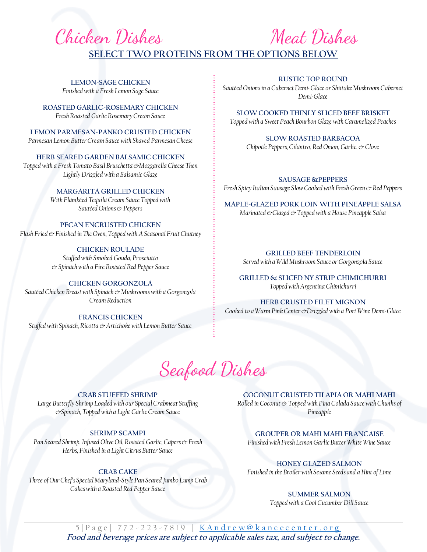# Chicken Dishes Meat Dishes **SELECT TWO PROTEINS FROM THE OPTIONS BELOW**

**LEMON-SAGE CHICKEN** *Finished with a Fresh Lemon Sage Sauce*

**ROASTED GARLIC-ROSEMARY CHICKEN**  *Fresh Roasted Garlic Rosemary Cream Sauce*

**LEMON PARMESAN-PANKO CRUSTED CHICKEN** *Parmesan Lemon Butter Cream Sauce with Shaved Parmesan Cheese*

**HERB SEARED GARDEN BALSAMIC CHICKEN**  *Topped with a Fresh Tomato Basil Bruschetta &Mozzarella Cheese Then Lightly Drizzled with a Balsamic Glaze*

#### **MARGARITA GRILLED CHICKEN**

*With Flambéed Tequila Cream Sauce Topped with Sautéed Onions & Peppers*

#### **PECAN ENCRUSTED CHICKEN** *Flash Fried &Finished in The Oven, Topped with ASeasonal Fruit Chutney*

**CHICKEN ROULADE** *Stuffed with Smoked Gouda, Prosciutto* 

*& Spinach with a Fire Roasted Red Pepper Sauce*

#### **CHICKEN GORGONZOLA**

*Sautéed Chicken Breast with Spinach & Mushrooms with a Gorgonzola Cream Reduction*

**FRANCIS CHICKEN** 

*Stuffed with Spinach, Ricotta & Artichoke with Lemon Butter Sauce*

#### **RUSTIC TOP ROUND**

*Sautéed Onions in a Cabernet Demi-Glace or Shiitake Mushroom Cabernet Demi-Glace*

**SLOW COOKED THINLY SLICED BEEF BRISKET** *Topped with a Sweet Peach Bourbon Glaze with Caramelized Peaches*

> **SLOW ROASTED BARBACOA**  *Chipotle Peppers, Cilantro, Red Onion, Garlic, & Clove*

**SAUSAGE &PEPPERS** *Fresh Spicy Italian Sausage Slow Cooked with Fresh Green & Red Peppers* 

**MAPLE-GLAZED PORK LOIN WITH PINEAPPLE SALSA** *Marinated &Glazed & Topped with a House Pineapple Salsa* 

> **GRILLED BEEF TENDERLOIN** *Served with a Wild Mushroom Sauce or Gorgonzola Sauce*

**GRILLED & SLICED NY STRIP CHIMICHURRI** *Topped with Argentina Chimichurri*

**HERB CRUSTED FILET MIGNON** *Cooked to a Warm Pink Center &Drizzled with a Port Wine Demi-Glace*



#### **CRAB STUFFED SHRIMP**

*Large Butterfly Shrimp Loaded with our Special Crabmeat Stuffing &Spinach, Topped with a Light Garlic Cream Sauce*

#### **SHRIMP SCAMPI**

*Pan Seared Shrimp, Infused Olive Oil, Roasted Garlic, Capers & Fresh Herbs, Finished in a Light Citrus Butter Sauce*

#### **CRAB CAKE**

*Three of Our Chef's Special Maryland-Style Pan Seared Jumbo Lump Crab Cakes with a Roasted Red Pepper Sauce*

**COCONUT CRUSTED TILAPIA OR MAHI MAHI** *Rolled in Coconut*  $\circ$  *Topped with Pina Colada Sauce with Chunks of Pineapple* 

**GROUPER OR MAHI MAHI FRANCAISE** *Finished with Fresh Lemon Garlic Butter White Wine Sauce*

**HONEY GLAZED SALMON** *Finished in the Broiler with Sesame Seeds and a Hint of Lime*

#### **SUMMER SALMON**

*Topped with a Cool Cucumber Dill Sauce* 

5 | Page | 772 - 223 - 7819 | [K A n d r e w @ k a n c e c e n t e r . o r g](mailto:KAndrew@kancecenter.org) **Food and beverage prices are subject to applicable sales tax, and subject to change.**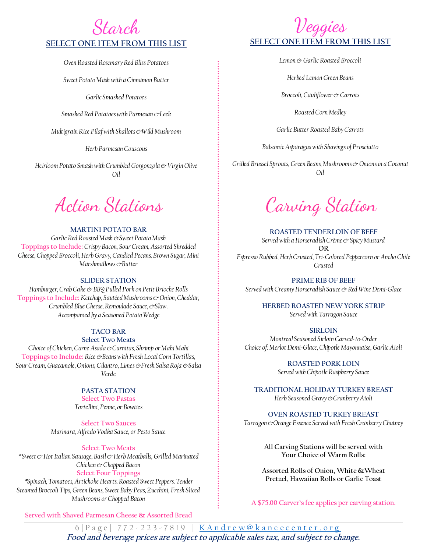### Starch **SELECT ONE ITEM FROM THIS LIST**

*Oven Roasted Rosemary Red Bliss Potatoes*

*Sweet Potato Mash with a Cinnamon Butter*

*Garlic Smashed Potatoes*

*Smashed Red Potatoes with Parmesan &Leek*

*Multigrain Rice Pilaf with Shallots &Wild Mushroom*

*Herb Parmesan Couscous*

*Heirloom Potato Smash with Crumbled Gorgonzola & Virgin Olive Oil*

#### **MARTINI POTATO BAR**

*Garlic Red Roasted Mash &Sweet Potato Mash*  **Toppings to Include:** *Crispy Bacon, Sour Cream, Assorted Shredded Cheese, Chopped Broccoli, Herb Gravy, Candied Pecans, Brown Sugar, Mini Marshmallows &Butter*

#### **SLIDER STATION**

*Hamburger, Crab Cake & BBQ Pulled Pork on Petit Brioche Rolls*  **Toppings to Include:** *Ketchup, Sautéed Mushrooms & Onion, Cheddar, Crumbled Blue Cheese, Remoulade Sauce, &Slaw. Accompanied by a Seasoned Potato Wedge*

#### **TACO BAR**

**Select Two Meats**  C*hoice of Chicken, Carne Asada &Carnitas, Shrimp or Mahi Mahi*  **Toppings to Include:** *Rice &Beans with Fresh Local Corn Tortillas, Sour Cream, Guacamole, Onions, Cilantro, Limes &Fresh Salsa Roja &Salsa Verde*  $\frac{1}{r}$ 

#### **PASTA STATION**

**Select Two Pastas**  *Tortellini, Penne, or Bowties*

**Select Two Sauces** *Marinara, Alfredo Vodka Sauce, or Pesto Sauce*

#### **Select Two Meats**

\**Sweet & Hot Italian Sausage, Basil & Herb Meatballs, Grilled Marinated Chicken & Chopped Bacon* **Select Four Toppings** 

**\****Spinach, Tomatoes, Artichoke Hearts, Roasted Sweet Peppers, Tender Steamed Broccoli Tips, Green Beans, Sweet Baby Peas, Zucchini, Fresh Sliced Mushrooms or Chopped Bacon*

**Served with Shaved Parmesan Cheese & Assorted Bread**

### Veggies **SELECT ONE ITEM FROM THIS LIST**

*Lemon & Garlic Roasted Broccoli*

*Herbed Lemon Green Beans*

*Broccoli, Cauliflower & Carrots* 

*Roasted Corn Medley* 

*Garlic Butter Roasted Baby Carrots*

*Balsamic Asparagus with Shavings of Prosciutto*

*Grilled Brussel Sprouts, Green Beans, Mushrooms & Onions in a Coconut Oil*

Action Stations Carving Station

**ROASTED TENDERLOIN OF BEEF** *Served with a Horseradish Crème & Spicy Mustard*  **OR** *Espresso Rubbed, Herb Crusted, Tri-Colored Peppercorn or Ancho Chile Crusted*

**PRIME RIB OF BEEF** *Served with Creamy Horseradish Sauce & Red Wine Demi-Glace*

> **HERBED ROASTED NEW YORK STRIP** *Served with Tarragon Sauce*

#### **SIRLOIN**

*Montreal Seasoned Sirloin Carved-to-Order Choice of: Merlot Demi-Glace, Chipotle Mayonnaise, Garlic Aioli*

> **ROASTED PORK LOIN** *Served with Chipotle Raspberry Sauce*

**TRADITIONAL HOLIDAY TURKEY BREAST** *Herb Seasoned Gravy &Cranberry Aioli*

**OVEN ROASTED TURKEY BREAST**

*Tarragon &Orange Essence Served with Fresh Cranberry Chutney* 

**All Carving Stations will be served with Your Choice of Warm Rolls:**

**Assorted Rolls of Onion, White &Wheat Pretzel, Hawaiian Rolls or Garlic Toast**

**A \$75.00 Carver's fee applies per carving station.**

6 | Page | 772 - 223 - 7819 | K Andrew@kancecenter.org **Food and beverage prices are subject to applicable sales tax, and subject to change.**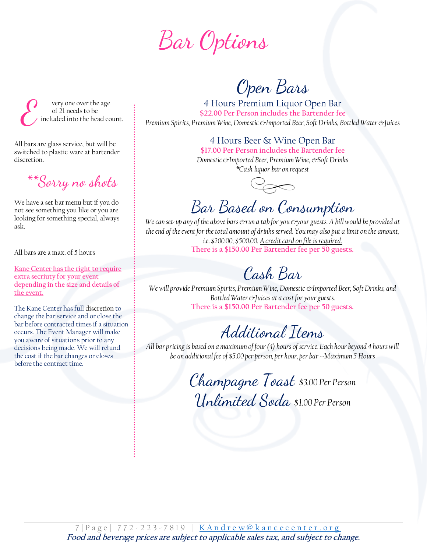Bar Options

 $\mathcal{E}% _{M_{1},M_{2}}^{\alpha,\beta}(\varepsilon)$  very one over the age of 21 needs to be included into the head count.

All bars are glass service, but will be switched to plastic ware at bartender discretion.

 $^{**}\!S$ orry no shots

We have a set bar menu but if you do not see something you like or you are looking for something special, always ask.

All bars are a max. of 5 hours

**Kane Center has the right to require extra secriuty for your event depending in the size and details of the event.** 

The Kane Center has full discretion to change the bar service and or close the bar before contracted times if a situation occurs. The Event Manager will make you aware of situations prior to any decisions being made. We will refund the cost if the bar changes or closes before the contract time.

Open Bars

4 Hours Premium Liquor Open Bar **\$22.00 Per Person includes the Bartender fee** *Premium Spirits, Premium Wine, Domestic &Imported Beer, Soft Drinks, Bottled Water &Juices*

> 4 Hours Beer & Wine Open Bar **\$17.00 Per Person includes the Bartender fee**

*Domestic &Imported Beer, Premium Wine, &Soft Drinks \*Cash liquor bar on request*



### Bar Based on Consumption  $\overline{\phantom{a}}$

We can set-up any of the above bars & run a tab for you & your guests. A bill would be provided at *the end of the event for the total amount of drinks served. You may also put a limit on the amount, i.e. \$200.00, \$500.00. A credit card on file is required.* **There is a \$150.00 Per Bartender fee per 50 guests.**

# Cash Bar

*We will provide Premium Spirits, Premium Wine, Domestic &Imported Beer, Soft Drinks, and Bottled Water &Juices at a cost for your guests.*  **There is a \$150.00 Per Bartender fee per 50 guests.**

# Additional Items

*All bar pricing is based on a maximum of four (4) hours of service. Each hour beyond 4 hours will be an additional fee of \$5.00 per person, per hour, per bar --Maximum 5 Hours*

> Champagne Toast *\$3.00 Per Person* Unlimited Soda *\$1.00 Per Person*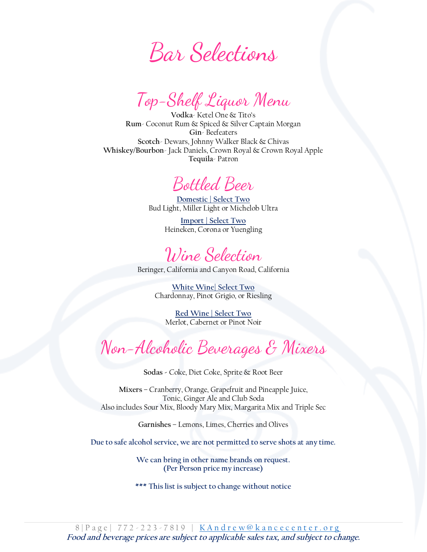Bar Selections

Top-Shelf Liquor Menu

**Vodka**- Ketel One & Tito's **Rum**- Coconut Rum & Spiced & Silver Captain Morgan **Gin**- Beefeaters **Scotch**- Dewars, Johnny Walker Black & Chivas **Whiskey/Bourbon**- Jack Daniels, Crown Royal & Crown Royal Apple **Tequila**- Patron

## Bottled Beer

**Domestic | Select Two** Bud Light, Miller Light or Michelob Ultra

> **Import | Select Two** Heineken, Corona or Yuengling

Wine Selection

Beringer, California and Canyon Road, California

**White Wine| Select Two**  Chardonnay, Pinot Grigio, or Riesling

**Red Wine | Select Two** Merlot, Cabernet or Pinot Noir

# Non-Alcoholic Beverages & Mixers

**Sodas -** Coke, Diet Coke, Sprite & Root Beer

**Mixers** – Cranberry, Orange, Grapefruit and Pineapple Juice, Tonic, Ginger Ale and Club Soda Also includes Sour Mix, Bloody Mary Mix, Margarita Mix and Triple Sec

**Garnishes** – Lemons, Limes, Cherries and Olives

**Due to safe alcohol service, we are not permitted to serve shots at any time.**

**We can bring in other name brands on request. (Per Person price my increase)**

**\*\*\* This list is subject to change without notice**